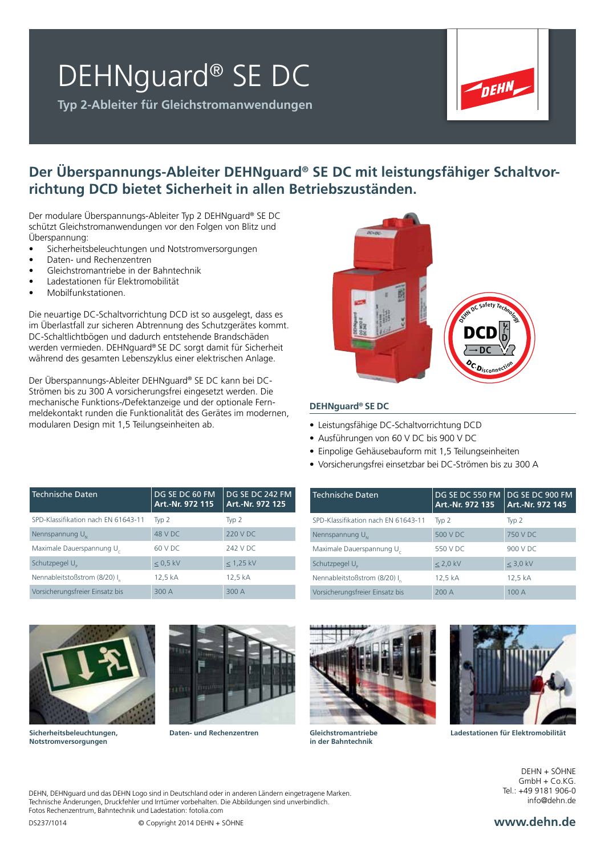## DEHNguard® SE DC

**Typ 2-Ableiter für Gleichstromanwendungen**



### **Der Überspannungs-Ableiter DEHNguard® SE DC mit leistungsfähiger Schaltvorrichtung DCD bietet Sicherheit in allen Betriebszuständen.**

Der modulare Überspannungs-Ableiter Typ 2 DEHNguard® SE DC schützt Gleichstromanwendungen vor den Folgen von Blitz und Überspannung:

- Sicherheitsbeleuchtungen und Notstromversorgungen
- Daten- und Rechenzentren
- Gleichstromantriebe in der Bahntechnik
- Ladestationen für Elektromobilität
- Mobilfunkstationen.

Die neuartige DC-Schaltvorrichtung DCD ist so ausgelegt, dass es im Überlastfall zur sicheren Abtrennung des Schutzgerätes kommt. DC-Schaltlichtbögen und dadurch entstehende Brandschäden werden vermieden. DEHNguard® SE DC sorgt damit für Sicherheit während des gesamten Lebenszyklus einer elektrischen Anlage.

Der Überspannungs-Ableiter DEHNguard® SE DC kann bei DC-Strömen bis zu 300 A vorsicherungsfrei eingesetzt werden. Die mechanische Funktions-/Defektanzeige und der optionale Fernmeldekontakt runden die Funktionalität des Gerätes im modernen, modularen Design mit 1,5 Teilungseinheiten ab.



### **DEHNguard® SE DC**

Technische Daten

- Leistungsfähige DC-Schaltvorrichtung DCD
- Ausführungen von 60 V DC bis 900 V DC
- Einpolige Gehäusebauform mit 1,5 Teilungseinheiten

SPD-Klassifikation nach EN 61643-11 Typ 2 Typ 2 Nennspannung U<sub>N</sub>  $\overline{500 \text{ V}}$  DC  $\overline{750 \text{ V}}$  DC Maximale Dauerspannung U<sub>c</sub> 550 V DC 900 V DC Schutzpegel U<sub>n</sub>  $\leq$  2,0 kV  $\leq$  3,0 kV Nennableitstoßstrom (8/20) I<sub>1</sub> 12,5 kA 12,5 kA Vorsicherungsfreier Einsatz bis 200 A 100 A

• Vorsicherungsfrei einsetzbar bei DC-Strömen bis zu 300 A

**Art.-Nr. 972 135**

DG SE DC 550 FM DG SE DC 900 FM

**Art.-Nr. 972 145**

| <b>Technische Daten</b>                  | DG SE DC 60 FM<br>Art.-Nr. 972 115 | DG SE DC 242 FM<br>Art.-Nr. 972 125 |
|------------------------------------------|------------------------------------|-------------------------------------|
| SPD-Klassifikation nach EN 61643-11      | Typ 2                              | $Tvp$ 2                             |
| Nennspannung $U_{\scriptscriptstyle{M}}$ | 48 V DC                            | 220 V DC                            |
| Maximale Dauerspannung U                 | 60 V DC                            | 242 V DC                            |
| Schutzpegel U <sub>p</sub>               | $< 0.5$ kV                         | $< 1,25$ kV                         |
| Nennableitstoßstrom (8/20) I             | 12,5 kA                            | 12,5 kA                             |
| Vorsicherungsfreier Einsatz bis          | 300 A                              | 300 A                               |





**Gleichstromantriebe in der Bahntechnik**



**Daten- und Rechenzentren Ladestationen für Elektromobilität**

DEHN + SÖHNE GmbH + Co.KG.  $Tel + 499181906-0$ info@dehn.de

DEHN, DEHNguard und das DEHN Logo sind in Deutschland oder in anderen Ländern eingetragene Marken. Technische Änderungen, Druckfehler und Irrtümer vorbehalten. Die Abbildungen sind unverbindlich. Fotos Rechenzentrum, Bahntechnik und Ladestation: fotolia.com

**Sicherheitsbeleuchtungen, Notstromversorgungen**